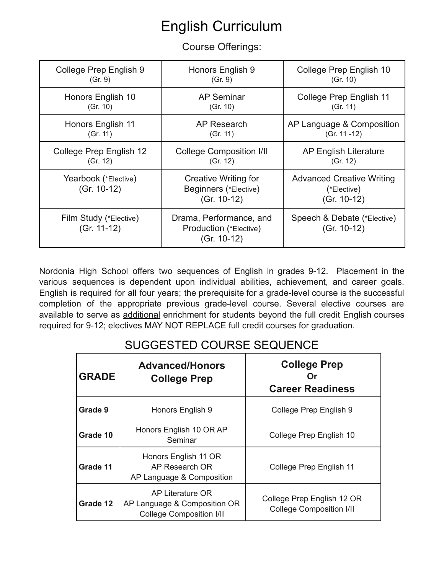# English Curriculum

Course Offerings:

| College Prep English 9                | Honors English 9                                                   | College Prep English 10                                          |
|---------------------------------------|--------------------------------------------------------------------|------------------------------------------------------------------|
| (Gr. 9)                               | (Gr. 9)                                                            | (Gr. 10)                                                         |
| Honors English 10                     | <b>AP Seminar</b>                                                  | <b>College Prep English 11</b>                                   |
| (Gr. 10)                              | (Gr. 10)                                                           | (Gr. 11)                                                         |
| Honors English 11                     | AP Research                                                        | AP Language & Composition                                        |
| (Gr. 11)                              | (Gr. 11)                                                           | (Gr. 11 -12)                                                     |
| College Prep English 12               | <b>College Composition I/II</b>                                    | <b>AP English Literature</b>                                     |
| (Gr. 12)                              | (Gr. 12)                                                           | (Gr. 12)                                                         |
| Yearbook (*Elective)<br>$(Gr. 10-12)$ | Creative Writing for<br>Beginners (*Elective)<br>$(Gr. 10-12)$     | <b>Advanced Creative Writing</b><br>(*Elective)<br>$(Gr. 10-12)$ |
| Film Study (*Elective)<br>(Gr. 11-12) | Drama, Performance, and<br>Production (*Elective)<br>$(Gr. 10-12)$ | Speech & Debate (*Elective)<br>$(Gr. 10-12)$                     |

Nordonia High School offers two sequences of English in grades 9-12. Placement in the various sequences is dependent upon individual abilities, achievement, and career goals. English is required for all four years; the prerequisite for a grade-level course is the successful completion of the appropriate previous grade-level course. Several elective courses are available to serve as additional enrichment for students beyond the full credit English courses required for 9-12; electives MAY NOT REPLACE full credit courses for graduation.

| <b>GRADE</b> | <b>Advanced/Honors</b><br><b>College Prep</b>                                       | <b>College Prep</b><br><b>Career Readiness</b>                |
|--------------|-------------------------------------------------------------------------------------|---------------------------------------------------------------|
| Grade 9      | Honors English 9                                                                    | College Prep English 9                                        |
| Grade 10     | Honors English 10 OR AP<br>Seminar                                                  | College Prep English 10                                       |
| Grade 11     | Honors English 11 OR<br>AP Research OR<br>AP Language & Composition                 | College Prep English 11                                       |
| Grade 12     | AP Literature OR<br>AP Language & Composition OR<br><b>College Composition I/II</b> | College Prep English 12 OR<br><b>College Composition I/II</b> |

# SUGGESTED COURSE SEQUENCE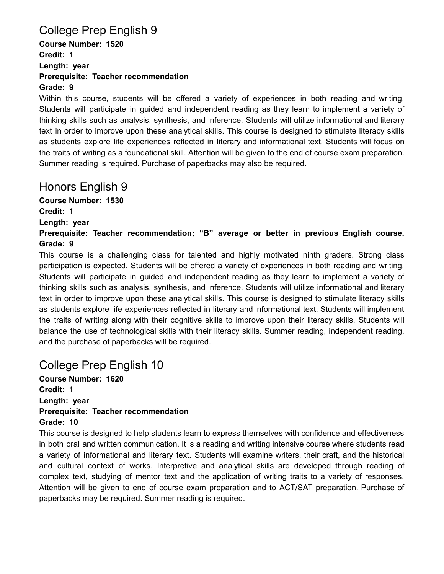# College Prep English 9

**Course Number: 1520 Credit: 1 Length: year Prerequisite: Teacher recommendation Grade: 9**

Within this course, students will be offered a variety of experiences in both reading and writing. Students will participate in guided and independent reading as they learn to implement a variety of thinking skills such as analysis, synthesis, and inference. Students will utilize informational and literary text in order to improve upon these analytical skills. This course is designed to stimulate literacy skills as students explore life experiences reflected in literary and informational text. Students will focus on the traits of writing as a foundational skill. Attention will be given to the end of course exam preparation. Summer reading is required. Purchase of paperbacks may also be required.

#### Honors English 9

**Course Number: 1530 Credit: 1 Length: year**

**Prerequisite: Teacher recommendation; "B" average or better in previous English course. Grade: 9**

This course is a challenging class for talented and highly motivated ninth graders. Strong class participation is expected. Students will be offered a variety of experiences in both reading and writing. Students will participate in guided and independent reading as they learn to implement a variety of thinking skills such as analysis, synthesis, and inference. Students will utilize informational and literary text in order to improve upon these analytical skills. This course is designed to stimulate literacy skills as students explore life experiences reflected in literary and informational text. Students will implement the traits of writing along with their cognitive skills to improve upon their literacy skills. Students will balance the use of technological skills with their literacy skills. Summer reading, independent reading, and the purchase of paperbacks will be required.

# College Prep English 10

**Course Number: 1620 Credit: 1 Length: year Prerequisite: Teacher recommendation Grade: 10**

This course is designed to help students learn to express themselves with confidence and effectiveness in both oral and written communication. It is a reading and writing intensive course where students read a variety of informational and literary text. Students will examine writers, their craft, and the historical and cultural context of works. Interpretive and analytical skills are developed through reading of complex text, studying of mentor text and the application of writing traits to a variety of responses. Attention will be given to end of course exam preparation and to ACT/SAT preparation. Purchase of paperbacks may be required. Summer reading is required.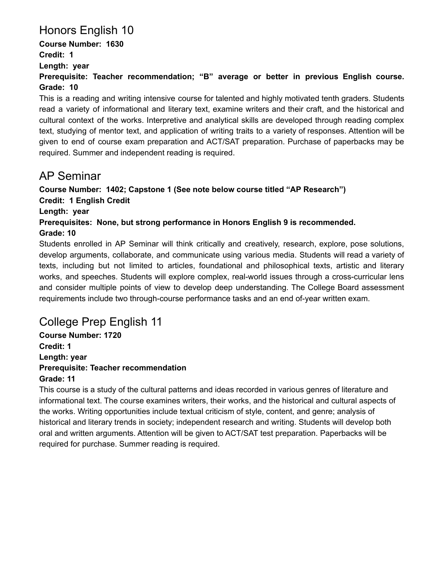# Honors English 10

**Course Number: 1630 Credit: 1 Length: year**

**Prerequisite: Teacher recommendation; "B" average or better in previous English course. Grade: 10**

This is a reading and writing intensive course for talented and highly motivated tenth graders. Students read a variety of informational and literary text, examine writers and their craft, and the historical and cultural context of the works. Interpretive and analytical skills are developed through reading complex text, studying of mentor text, and application of writing traits to a variety of responses. Attention will be given to end of course exam preparation and ACT/SAT preparation. Purchase of paperbacks may be required. Summer and independent reading is required.

### AP Seminar

**Course Number: 1402; Capstone 1 (See note below course titled "AP Research")**

**Credit: 1 English Credit**

**Length: year**

**Prerequisites: None, but strong performance in Honors English 9 is recommended.**

#### **Grade: 10**

Students enrolled in AP Seminar will think critically and creatively, research, explore, pose solutions, develop arguments, collaborate, and communicate using various media. Students will read a variety of texts, including but not limited to articles, foundational and philosophical texts, artistic and literary works, and speeches. Students will explore complex, real-world issues through a cross-curricular lens and consider multiple points of view to develop deep understanding. The College Board assessment requirements include two through-course performance tasks and an end of-year written exam.

# College Prep English 11

**Course Number: 1720 Credit: 1 Length: year Prerequisite: Teacher recommendation Grade: 11**

This course is a study of the cultural patterns and ideas recorded in various genres of literature and informational text. The course examines writers, their works, and the historical and cultural aspects of the works. Writing opportunities include textual criticism of style, content, and genre; analysis of historical and literary trends in society; independent research and writing. Students will develop both oral and written arguments. Attention will be given to ACT/SAT test preparation. Paperbacks will be required for purchase. Summer reading is required.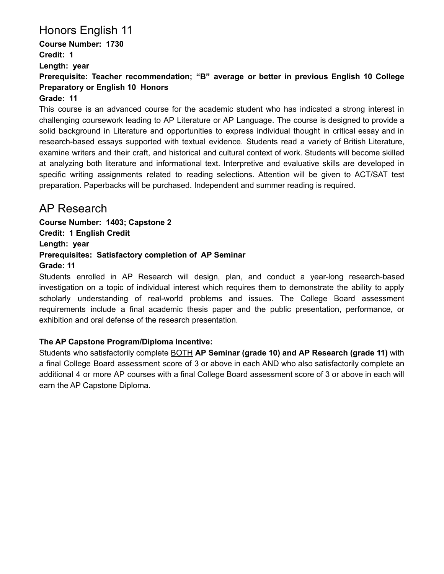# Honors English 11

**Course Number: 1730 Credit: 1 Length: year**

**Prerequisite: Teacher recommendation; "B" average or better in previous English 10 College Preparatory or English 10 Honors**

#### **Grade: 11**

This course is an advanced course for the academic student who has indicated a strong interest in challenging coursework leading to AP Literature or AP Language. The course is designed to provide a solid background in Literature and opportunities to express individual thought in critical essay and in research-based essays supported with textual evidence. Students read a variety of British Literature, examine writers and their craft, and historical and cultural context of work. Students will become skilled at analyzing both literature and informational text. Interpretive and evaluative skills are developed in specific writing assignments related to reading selections. Attention will be given to ACT/SAT test preparation. Paperbacks will be purchased. Independent and summer reading is required.

#### AP Research

**Course Number: 1403; Capstone 2 Credit: 1 English Credit Length: year Prerequisites: Satisfactory completion of AP Seminar Grade: 11**

Students enrolled in AP Research will design, plan, and conduct a year-long research-based investigation on a topic of individual interest which requires them to demonstrate the ability to apply scholarly understanding of real-world problems and issues. The College Board assessment requirements include a final academic thesis paper and the public presentation, performance, or exhibition and oral defense of the research presentation.

#### **The AP Capstone Program/Diploma Incentive:**

Students who satisfactorily complete BOTH **AP Seminar (grade 10) and AP Research (grade 11)** with a final College Board assessment score of 3 or above in each AND who also satisfactorily complete an additional 4 or more AP courses with a final College Board assessment score of 3 or above in each will earn the AP Capstone Diploma.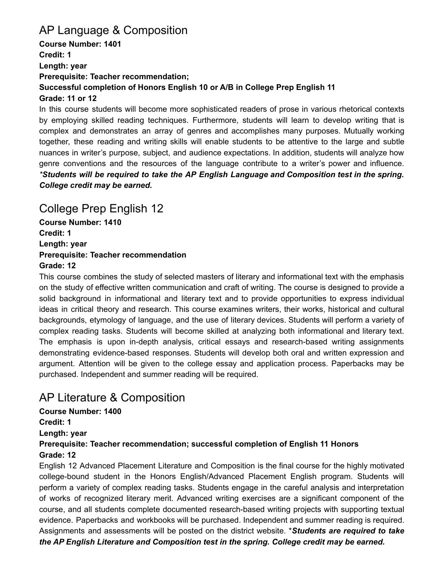### AP Language & Composition

**Course Number: 1401 Credit: 1 Length: year Prerequisite: Teacher recommendation; Successful completion of Honors English 10 or A/B in College Prep English 11 Grade: 11 or 12**

In this course students will become more sophisticated readers of prose in various rhetorical contexts by employing skilled reading techniques. Furthermore, students will learn to develop writing that is complex and demonstrates an array of genres and accomplishes many purposes. Mutually working together, these reading and writing skills will enable students to be attentive to the large and subtle nuances in writer's purpose, subject, and audience expectations. In addition, students will analyze how genre conventions and the resources of the language contribute to a writer's power and influence. *\*Students will be required to take the AP English Language and Composition test in the spring. College credit may be earned.*

### College Prep English 12

**Course Number: 1410 Credit: 1 Length: year Prerequisite: Teacher recommendation Grade: 12**

This course combines the study of selected masters of literary and informational text with the emphasis on the study of effective written communication and craft of writing. The course is designed to provide a solid background in informational and literary text and to provide opportunities to express individual ideas in critical theory and research. This course examines writers, their works, historical and cultural backgrounds, etymology of language, and the use of literary devices. Students will perform a variety of complex reading tasks. Students will become skilled at analyzing both informational and literary text. The emphasis is upon in-depth analysis, critical essays and research-based writing assignments demonstrating evidence-based responses. Students will develop both oral and written expression and argument. Attention will be given to the college essay and application process. Paperbacks may be purchased. Independent and summer reading will be required.

# AP Literature & Composition

**Course Number: 1400 Credit: 1 Length: year Prerequisite: Teacher recommendation; successful completion of English 11 Honors Grade: 12**

English 12 Advanced Placement Literature and Composition is the final course for the highly motivated college-bound student in the Honors English/Advanced Placement English program. Students will perform a variety of complex reading tasks. Students engage in the careful analysis and interpretation of works of recognized literary merit. Advanced writing exercises are a significant component of the course, and all students complete documented research-based writing projects with supporting textual evidence. Paperbacks and workbooks will be purchased. Independent and summer reading is required. Assignments and assessments will be posted on the district website. \**Students are required to take the AP English Literature and Composition test in the spring. College credit may be earned.*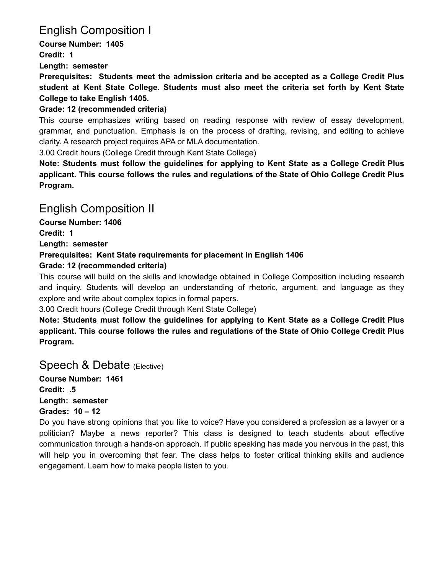# English Composition I

**Course Number: 1405 Credit: 1 Length: semester**

**Prerequisites: Students meet the admission criteria and be accepted as a College Credit Plus student at Kent State College. Students must also meet the criteria set forth by Kent State College to take English 1405.**

#### **Grade: 12 (recommended criteria)**

This course emphasizes writing based on reading response with review of essay development, grammar, and punctuation. Emphasis is on the process of drafting, revising, and editing to achieve clarity. A research project requires APA or MLA documentation.

3.00 Credit hours (College Credit through Kent State College)

**Note: Students must follow the guidelines for applying to Kent State as a College Credit Plus applicant. This course follows the rules and regulations of the State of Ohio College Credit Plus Program.**

### English Composition II

**Course Number: 1406 Credit: 1**

**Length: semester**

#### **Prerequisites: Kent State requirements for placement in English 1406**

#### **Grade: 12 (recommended criteria)**

This course will build on the skills and knowledge obtained in College Composition including research and inquiry. Students will develop an understanding of rhetoric, argument, and language as they explore and write about complex topics in formal papers.

3.00 Credit hours (College Credit through Kent State College)

**Note: Students must follow the guidelines for applying to Kent State as a College Credit Plus applicant. This course follows the rules and regulations of the State of Ohio College Credit Plus Program.**

#### Speech & Debate (Elective)

**Course Number: 1461 Credit: .5 Length: semester Grades: 10 – 12**

Do you have strong opinions that you like to voice? Have you considered a profession as a lawyer or a politician? Maybe a news reporter? This class is designed to teach students about effective communication through a hands-on approach. If public speaking has made you nervous in the past, this will help you in overcoming that fear. The class helps to foster critical thinking skills and audience engagement. Learn how to make people listen to you.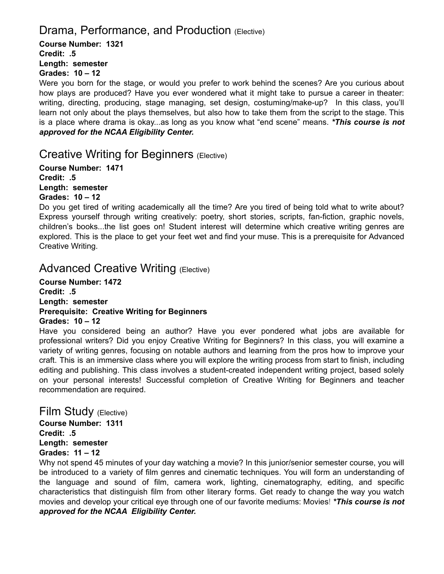### Drama, Performance, and Production (Elective)

**Course Number: 1321 Credit: .5 Length: semester Grades: 10 – 12**

Were you born for the stage, or would you prefer to work behind the scenes? Are you curious about how plays are produced? Have you ever wondered what it might take to pursue a career in theater: writing, directing, producing, stage managing, set design, costuming/make-up? In this class, you'll learn not only about the plays themselves, but also how to take them from the script to the stage. This is a place where drama is okay...as long as you know what "end scene" means. *\*This course is not approved for the NCAA Eligibility Center.*

Creative Writing for Beginners (Elective)

**Course Number: 1471 Credit: .5 Length: semester Grades: 10 – 12**

Do you get tired of writing academically all the time? Are you tired of being told what to write about? Express yourself through writing creatively: poetry, short stories, scripts, fan-fiction, graphic novels, children's books...the list goes on! Student interest will determine which creative writing genres are explored. This is the place to get your feet wet and find your muse. This is a prerequisite for Advanced Creative Writing.

#### Advanced Creative Writing (Elective)

**Course Number: 1472 Credit: .5 Length: semester Prerequisite: Creative Writing for Beginners Grades: 10 – 12**

Have you considered being an author? Have you ever pondered what jobs are available for professional writers? Did you enjoy Creative Writing for Beginners? In this class, you will examine a variety of writing genres, focusing on notable authors and learning from the pros how to improve your craft. This is an immersive class where you will explore the writing process from start to finish, including editing and publishing. This class involves a student-created independent writing project, based solely on your personal interests! Successful completion of Creative Writing for Beginners and teacher recommendation are required.

Film Study (Elective)

**Course Number: 1311 Credit: .5 Length: semester Grades: 11 – 12**

Why not spend 45 minutes of your day watching a movie? In this junior/senior semester course, you will be introduced to a variety of film genres and cinematic techniques. You will form an understanding of the language and sound of film, camera work, lighting, cinematography, editing, and specific characteristics that distinguish film from other literary forms. Get ready to change the way you watch movies and develop your critical eye through one of our favorite mediums: Movies! *\*This course is not approved for the NCAA Eligibility Center.*